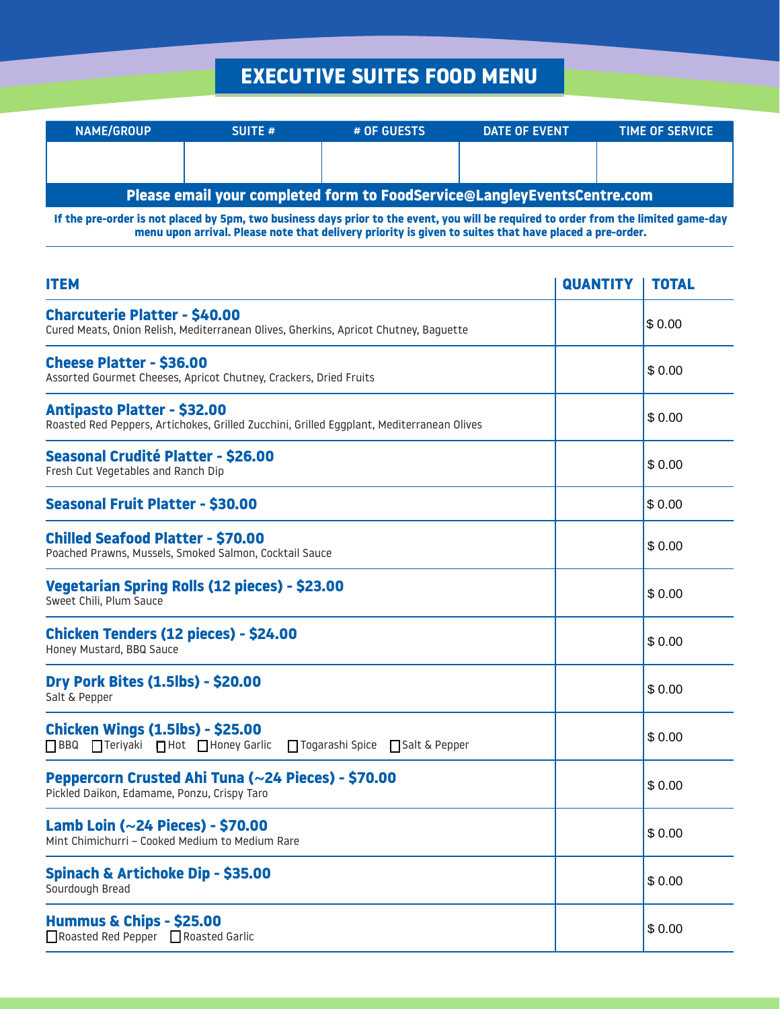## **EXECUTIVE SUITES FOOD MENU**

| <b>NAME/GROUP</b> | <b>SUITE #</b>                                                          | # OF GUESTS | DATE OF EVENT | <b>TIME OF SERVICE</b> |
|-------------------|-------------------------------------------------------------------------|-------------|---------------|------------------------|
|                   |                                                                         |             |               |                        |
|                   |                                                                         |             |               |                        |
|                   | Please email your completed form to FoodService@LangleyEventsCentre.com |             |               |                        |

**If the pre-order is not placed by 5pm, two business days prior to the event, you will be required to order from the limited game-day menu upon arrival. Please note that delivery priority is given to suites that have placed a pre-order.**

| <b>ITEM</b>                                                                                                                     |  | <b>TOTAL</b> |
|---------------------------------------------------------------------------------------------------------------------------------|--|--------------|
| <b>Charcuterie Platter - \$40.00</b><br>Cured Meats, Onion Relish, Mediterranean Olives, Gherkins, Apricot Chutney, Baguette    |  | \$0.00       |
| <b>Cheese Platter - \$36.00</b><br>Assorted Gourmet Cheeses, Apricot Chutney, Crackers, Dried Fruits                            |  | \$0.00       |
| <b>Antipasto Platter - \$32.00</b><br>Roasted Red Peppers, Artichokes, Grilled Zucchini, Grilled Eggplant, Mediterranean Olives |  | \$0.00       |
| Seasonal Crudité Platter - \$26.00<br>Fresh Cut Vegetables and Ranch Dip                                                        |  | \$0.00       |
| <b>Seasonal Fruit Platter - \$30.00</b>                                                                                         |  | \$0.00       |
| <b>Chilled Seafood Platter - \$70.00</b><br>Poached Prawns, Mussels, Smoked Salmon, Cocktail Sauce                              |  | \$0.00       |
| Vegetarian Spring Rolls (12 pieces) - \$23.00<br>Sweet Chili, Plum Sauce                                                        |  | \$0.00       |
| Chicken Tenders (12 pieces) - \$24.00<br>Honey Mustard, BBQ Sauce                                                               |  | \$0.00       |
| <b>Dry Pork Bites (1.5lbs) - \$20.00</b><br>Salt & Pepper                                                                       |  | \$0.00       |
| <b>Chicken Wings (1.5lbs) - \$25.00</b><br>□ BBQ □ Teriyaki □ Hot □ Honey Garlic<br>□ Togarashi Spice □ Salt & Pepper           |  | \$0.00       |
| Peppercorn Crusted Ahi Tuna (~24 Pieces) - \$70.00<br>Pickled Daikon, Edamame, Ponzu, Crispy Taro                               |  | \$0.00       |
| Lamb Loin ( $\sim$ 24 Pieces) - \$70.00<br>Mint Chimichurri - Cooked Medium to Medium Rare                                      |  | \$0.00       |
| Spinach & Artichoke Dip - \$35.00<br>Sourdough Bread                                                                            |  | \$0.00       |
| Hummus & Chips - \$25.00<br>■ Roasted Red Pepper ■ Roasted Garlic                                                               |  | \$0.00       |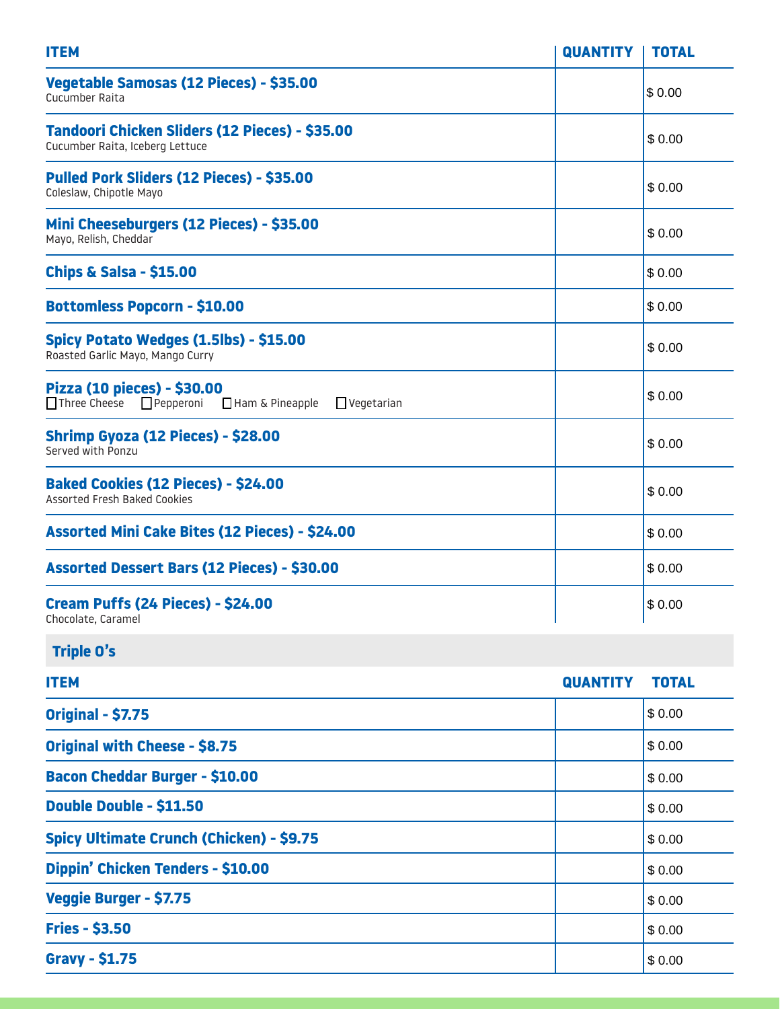| <b>ITEM</b>                                                                                                        | <b>QUANTITY</b> | <b>TOTAL</b> |
|--------------------------------------------------------------------------------------------------------------------|-----------------|--------------|
| Vegetable Samosas (12 Pieces) - \$35.00<br>Cucumber Raita                                                          |                 | \$0.00       |
| Tandoori Chicken Sliders (12 Pieces) - \$35.00<br>Cucumber Raita, Iceberg Lettuce                                  |                 | \$0.00       |
| Pulled Pork Sliders (12 Pieces) - \$35.00<br>Coleslaw, Chipotle Mayo                                               |                 | \$0.00       |
| Mini Cheeseburgers (12 Pieces) - \$35.00<br>Mayo, Relish, Cheddar                                                  |                 | \$0.00       |
| <b>Chips &amp; Salsa - \$15.00</b>                                                                                 |                 | \$0.00       |
| <b>Bottomless Popcorn - \$10.00</b>                                                                                |                 | \$0.00       |
| Spicy Potato Wedges (1.5lbs) - \$15.00<br>Roasted Garlic Mayo, Mango Curry                                         |                 | \$0.00       |
| Pizza (10 pieces) - \$30.00<br>$\Box$ Three Cheese $\Box$ Pepperoni<br>$\Box$ Ham & Pineapple<br>$\Box$ Vegetarian |                 | \$0.00       |
| Shrimp Gyoza (12 Pieces) - \$28.00<br>Served with Ponzu                                                            |                 | \$0.00       |
| <b>Baked Cookies (12 Pieces) - \$24.00</b><br><b>Assorted Fresh Baked Cookies</b>                                  |                 | \$0.00       |
| Assorted Mini Cake Bites (12 Pieces) - \$24.00                                                                     |                 | \$0.00       |
| Assorted Dessert Bars (12 Pieces) - \$30.00                                                                        |                 | \$0.00       |
| Cream Puffs (24 Pieces) - \$24.00<br>Chocolate, Caramel                                                            |                 | \$0.00       |
| <b>Triple O's</b>                                                                                                  |                 |              |
| <b>ITEM</b>                                                                                                        | <b>QUANTITY</b> | <b>TOTAL</b> |
| <b>Original - \$7.75</b>                                                                                           |                 | \$0.00       |
| <b>Original with Cheese - \$8.75</b>                                                                               |                 | \$0.00       |
| <b>Bacon Cheddar Burger - \$10.00</b>                                                                              |                 | \$0.00       |
| Double Double - \$11.50                                                                                            |                 | \$0.00       |
| <b>Spicy Ultimate Crunch (Chicken) - \$9.75</b>                                                                    |                 | \$0.00       |
| Dippin' Chicken Tenders - \$10.00                                                                                  |                 | \$0.00       |
| Veggie Burger - \$7.75                                                                                             |                 | \$0.00       |
| <b>Fries - \$3.50</b>                                                                                              |                 | \$0.00       |
| <b>Gravy - \$1.75</b>                                                                                              |                 | \$0.00       |

**Gravy - \$1.75**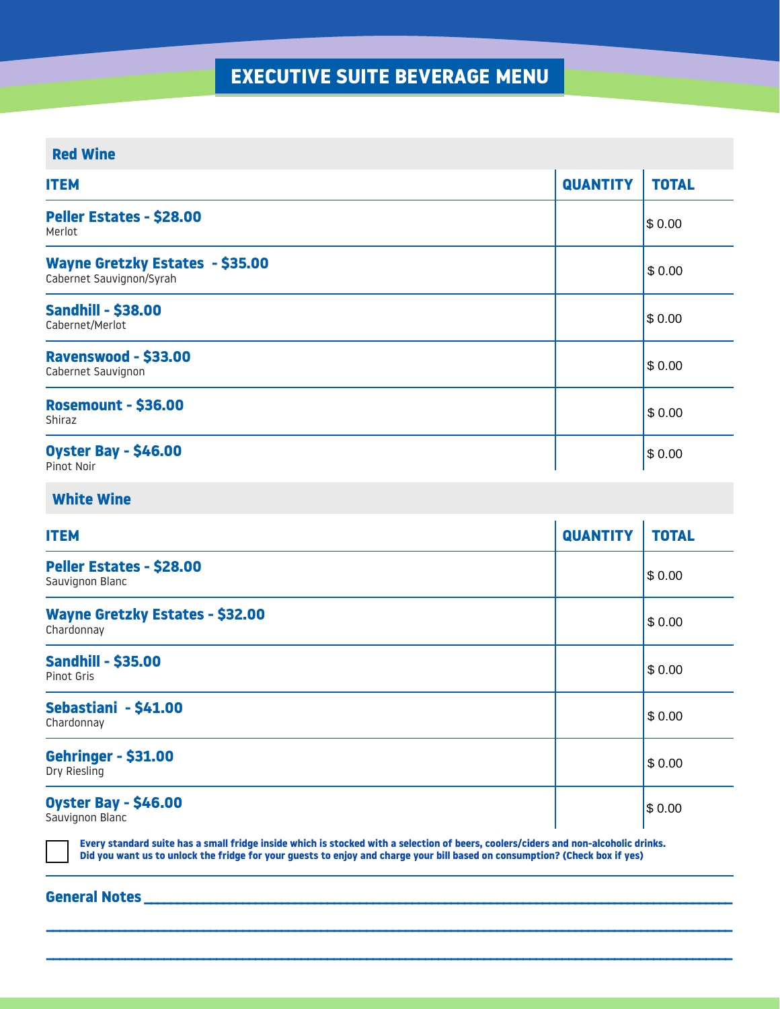## **EXECUTIVE SUITE BEVERAGE MENU**

### **Red Wine**

| <b>ITEM</b>                                                 | <b>QUANTITY</b> | <b>TOTAL</b> |
|-------------------------------------------------------------|-----------------|--------------|
| Peller Estates - \$28.00<br>Merlot                          |                 | \$0.00       |
| Wayne Gretzky Estates - \$35.00<br>Cabernet Sauvignon/Syrah |                 | \$0.00       |
| <b>Sandhill - \$38.00</b><br>Cabernet/Merlot                |                 | \$0.00       |
| <b>Ravenswood - \$33.00</b><br>Cabernet Sauvignon           |                 | \$0.00       |
| <b>Rosemount - \$36.00</b><br>Shiraz                        |                 | \$0.00       |
| <b>Oyster Bay - \$46.00</b><br>Pinot Noir                   |                 | \$0.00       |

### **White Wine**

| <b>ITEM</b>                                          | <b>QUANTITY</b> | <b>TOTAL</b> |
|------------------------------------------------------|-----------------|--------------|
| Peller Estates - \$28.00<br>Sauvignon Blanc          |                 | \$0.00       |
| <b>Wayne Gretzky Estates - \$32.00</b><br>Chardonnay |                 | \$0.00       |
| <b>Sandhill - \$35.00</b><br>Pinot Gris              |                 | \$0.00       |
| Sebastiani - \$41.00<br>Chardonnay                   |                 | \$0.00       |
| <b>Gehringer - \$31.00</b><br>Dry Riesling           |                 | \$0.00       |
| <b>Oyster Bay - \$46.00</b><br>Sauvignon Blanc       |                 | \$0.00       |

**Every standard suite has a small fridge inside which is stocked with a selection of beers, coolers/ciders and non-alcoholic drinks. Did you want us to unlock the fridge for your guests to enjoy and charge your bill based on consumption? (Check box if yes)**

**\_\_\_\_\_\_\_\_\_\_\_\_\_\_\_\_\_\_\_\_\_\_\_\_\_\_\_\_\_\_\_\_\_\_\_\_\_\_\_\_\_\_\_\_\_\_\_\_\_\_\_\_\_\_\_\_\_\_\_\_\_\_\_\_\_\_\_\_\_\_\_\_\_\_\_\_\_\_\_\_\_\_\_\_\_\_\_\_\_\_\_\_\_\_\_\_\_\_\_\_\_\_\_\_\_**

**\_\_\_\_\_\_\_\_\_\_\_\_\_\_\_\_\_\_\_\_\_\_\_\_\_\_\_\_\_\_\_\_\_\_\_\_\_\_\_\_\_\_\_\_\_\_\_\_\_\_\_\_\_\_\_\_\_\_\_\_\_\_\_\_\_\_\_\_\_\_\_\_\_\_\_\_\_\_\_\_\_\_\_\_\_\_\_\_\_\_\_\_\_\_\_\_\_\_\_\_\_\_\_\_\_**

#### General Notes